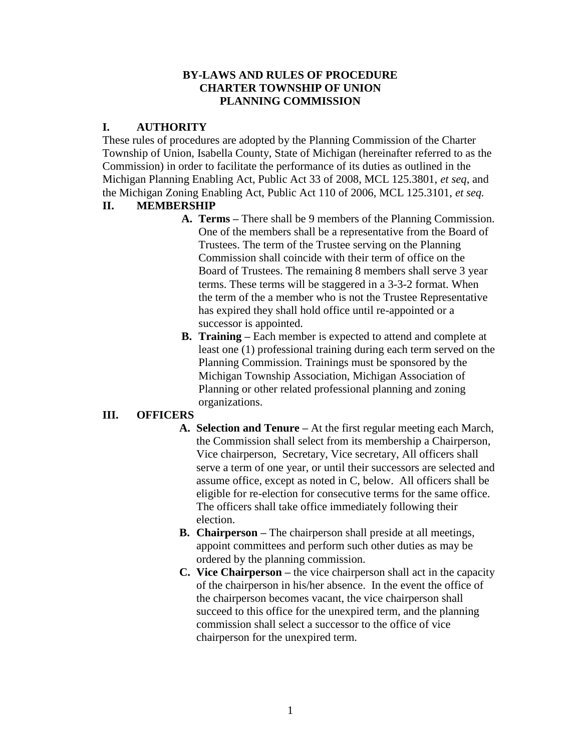### **BY-LAWS AND RULES OF PROCEDURE CHARTER TOWNSHIP OF UNION PLANNING COMMISSION**

# **I. AUTHORITY**

These rules of procedures are adopted by the Planning Commission of the Charter Township of Union, Isabella County, State of Michigan (hereinafter referred to as the Commission) in order to facilitate the performance of its duties as outlined in the Michigan Planning Enabling Act, Public Act 33 of 2008, MCL 125.3801, *et seq*, and the Michigan Zoning Enabling Act, Public Act 110 of 2006, MCL 125.3101, *et seq.* 

# **II. MEMBERSHIP**

- **A. Terms –** There shall be 9 members of the Planning Commission. One of the members shall be a representative from the Board of Trustees. The term of the Trustee serving on the Planning Commission shall coincide with their term of office on the Board of Trustees. The remaining 8 members shall serve 3 year terms. These terms will be staggered in a 3-3-2 format. When the term of the a member who is not the Trustee Representative has expired they shall hold office until re-appointed or a successor is appointed.
- **B. Training –** Each member is expected to attend and complete at least one (1) professional training during each term served on the Planning Commission. Trainings must be sponsored by the Michigan Township Association, Michigan Association of Planning or other related professional planning and zoning organizations.

# **III. OFFICERS**

- **A. Selection and Tenure –** At the first regular meeting each March, the Commission shall select from its membership a Chairperson, Vice chairperson, Secretary, Vice secretary, All officers shall serve a term of one year, or until their successors are selected and assume office, except as noted in C, below. All officers shall be eligible for re-election for consecutive terms for the same office. The officers shall take office immediately following their election.
- **B. Chairperson –** The chairperson shall preside at all meetings, appoint committees and perform such other duties as may be ordered by the planning commission.
- **C. Vice Chairperson –** the vice chairperson shall act in the capacity of the chairperson in his/her absence. In the event the office of the chairperson becomes vacant, the vice chairperson shall succeed to this office for the unexpired term, and the planning commission shall select a successor to the office of vice chairperson for the unexpired term.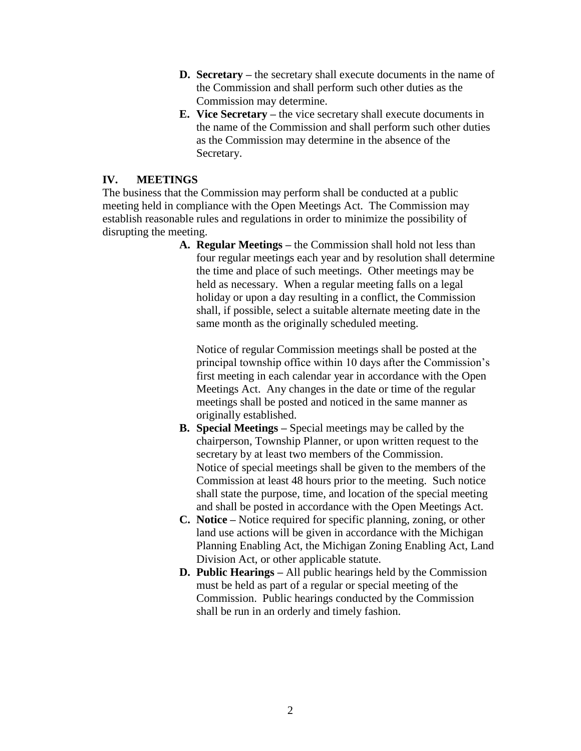- **D. Secretary –** the secretary shall execute documents in the name of the Commission and shall perform such other duties as the Commission may determine.
- **E. Vice Secretary –** the vice secretary shall execute documents in the name of the Commission and shall perform such other duties as the Commission may determine in the absence of the Secretary.

### **IV. MEETINGS**

The business that the Commission may perform shall be conducted at a public meeting held in compliance with the Open Meetings Act. The Commission may establish reasonable rules and regulations in order to minimize the possibility of disrupting the meeting.

> **A. Regular Meetings –** the Commission shall hold not less than four regular meetings each year and by resolution shall determine the time and place of such meetings. Other meetings may be held as necessary. When a regular meeting falls on a legal holiday or upon a day resulting in a conflict, the Commission shall, if possible, select a suitable alternate meeting date in the same month as the originally scheduled meeting.

Notice of regular Commission meetings shall be posted at the principal township office within 10 days after the Commission's first meeting in each calendar year in accordance with the Open Meetings Act. Any changes in the date or time of the regular meetings shall be posted and noticed in the same manner as originally established.

- **B. Special Meetings –** Special meetings may be called by the chairperson, Township Planner, or upon written request to the secretary by at least two members of the Commission. Notice of special meetings shall be given to the members of the Commission at least 48 hours prior to the meeting. Such notice shall state the purpose, time, and location of the special meeting and shall be posted in accordance with the Open Meetings Act.
- **C. Notice –** Notice required for specific planning, zoning, or other land use actions will be given in accordance with the Michigan Planning Enabling Act, the Michigan Zoning Enabling Act, Land Division Act, or other applicable statute.
- **D. Public Hearings –** All public hearings held by the Commission must be held as part of a regular or special meeting of the Commission. Public hearings conducted by the Commission shall be run in an orderly and timely fashion.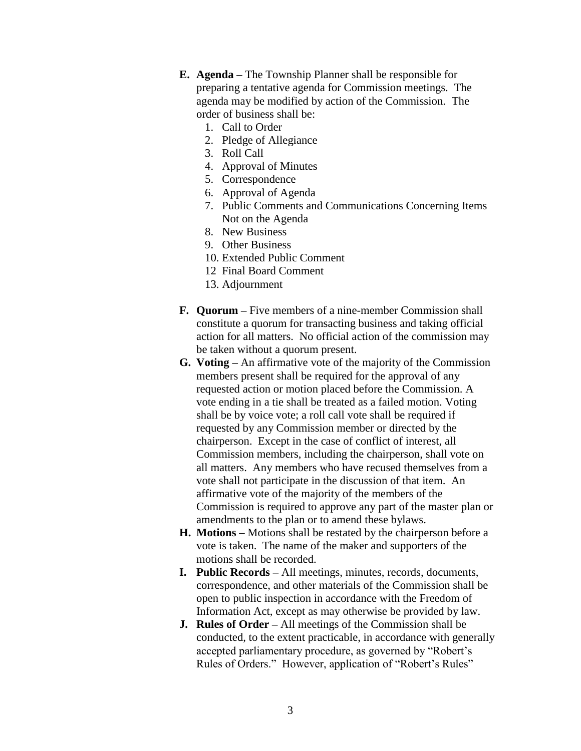- **E. Agenda –** The Township Planner shall be responsible for preparing a tentative agenda for Commission meetings. The agenda may be modified by action of the Commission. The order of business shall be:
	- 1. Call to Order
	- 2. Pledge of Allegiance
	- 3. Roll Call
	- 4. Approval of Minutes
	- 5. Correspondence
	- 6. Approval of Agenda
	- 7. Public Comments and Communications Concerning Items Not on the Agenda
	- 8. New Business
	- 9. Other Business
	- 10. Extended Public Comment
	- 12 Final Board Comment
	- 13. Adjournment
- **F. Quorum –** Five members of a nine-member Commission shall constitute a quorum for transacting business and taking official action for all matters. No official action of the commission may be taken without a quorum present.
- **G. Voting –** An affirmative vote of the majority of the Commission members present shall be required for the approval of any requested action or motion placed before the Commission. A vote ending in a tie shall be treated as a failed motion. Voting shall be by voice vote; a roll call vote shall be required if requested by any Commission member or directed by the chairperson. Except in the case of conflict of interest, all Commission members, including the chairperson, shall vote on all matters. Any members who have recused themselves from a vote shall not participate in the discussion of that item. An affirmative vote of the majority of the members of the Commission is required to approve any part of the master plan or amendments to the plan or to amend these bylaws.
- **H. Motions –** Motions shall be restated by the chairperson before a vote is taken. The name of the maker and supporters of the motions shall be recorded.
- **I. Public Records –** All meetings, minutes, records, documents, correspondence, and other materials of the Commission shall be open to public inspection in accordance with the Freedom of Information Act, except as may otherwise be provided by law.
- **J. Rules of Order –** All meetings of the Commission shall be conducted, to the extent practicable, in accordance with generally accepted parliamentary procedure, as governed by "Robert's Rules of Orders." However, application of "Robert's Rules"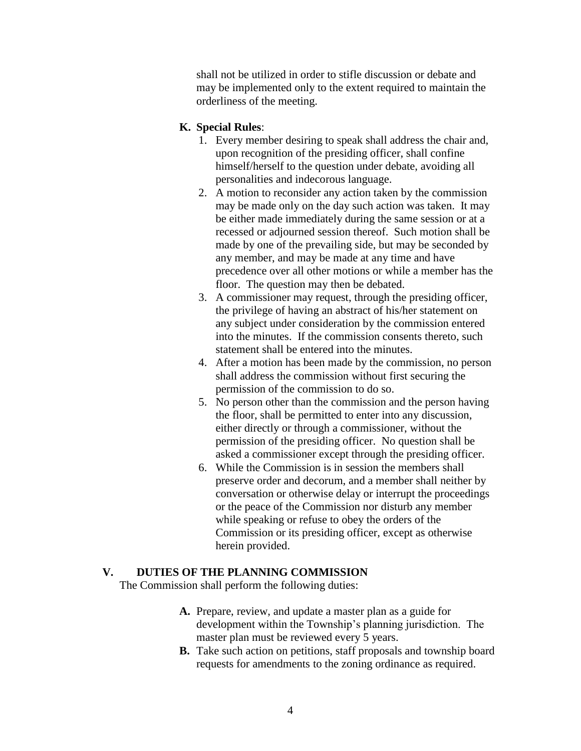shall not be utilized in order to stifle discussion or debate and may be implemented only to the extent required to maintain the orderliness of the meeting.

#### **K. Special Rules**:

- 1. Every member desiring to speak shall address the chair and, upon recognition of the presiding officer, shall confine himself/herself to the question under debate, avoiding all personalities and indecorous language.
- 2. A motion to reconsider any action taken by the commission may be made only on the day such action was taken. It may be either made immediately during the same session or at a recessed or adjourned session thereof. Such motion shall be made by one of the prevailing side, but may be seconded by any member, and may be made at any time and have precedence over all other motions or while a member has the floor. The question may then be debated.
- 3. A commissioner may request, through the presiding officer, the privilege of having an abstract of his/her statement on any subject under consideration by the commission entered into the minutes. If the commission consents thereto, such statement shall be entered into the minutes.
- 4. After a motion has been made by the commission, no person shall address the commission without first securing the permission of the commission to do so.
- 5. No person other than the commission and the person having the floor, shall be permitted to enter into any discussion, either directly or through a commissioner, without the permission of the presiding officer. No question shall be asked a commissioner except through the presiding officer.
- 6. While the Commission is in session the members shall preserve order and decorum, and a member shall neither by conversation or otherwise delay or interrupt the proceedings or the peace of the Commission nor disturb any member while speaking or refuse to obey the orders of the Commission or its presiding officer, except as otherwise herein provided.

#### **V. DUTIES OF THE PLANNING COMMISSION**

The Commission shall perform the following duties:

- **A.** Prepare, review, and update a master plan as a guide for development within the Township's planning jurisdiction. The master plan must be reviewed every 5 years.
- **B.** Take such action on petitions, staff proposals and township board requests for amendments to the zoning ordinance as required.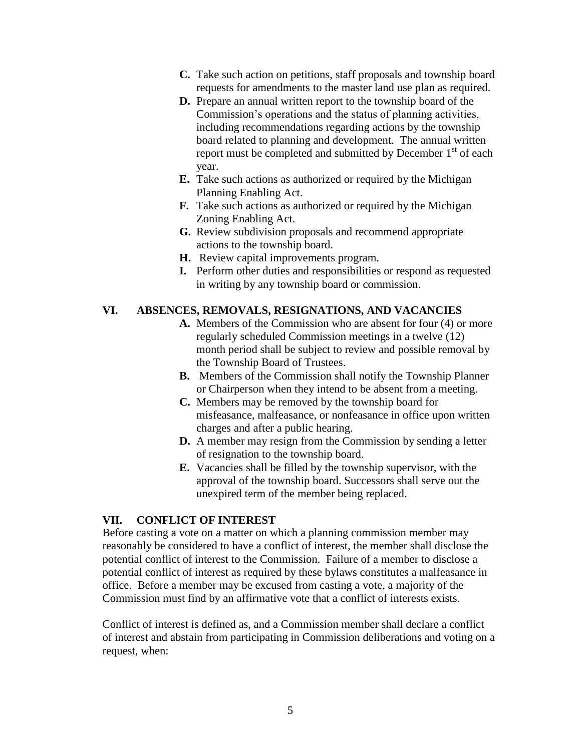- **C.** Take such action on petitions, staff proposals and township board requests for amendments to the master land use plan as required.
- **D.** Prepare an annual written report to the township board of the Commission's operations and the status of planning activities, including recommendations regarding actions by the township board related to planning and development. The annual written report must be completed and submitted by December  $1<sup>st</sup>$  of each year.
- **E.** Take such actions as authorized or required by the Michigan Planning Enabling Act.
- **F.** Take such actions as authorized or required by the Michigan Zoning Enabling Act.
- **G.** Review subdivision proposals and recommend appropriate actions to the township board.
- **H.** Review capital improvements program.
- **I.** Perform other duties and responsibilities or respond as requested in writing by any township board or commission.

# **VI. ABSENCES, REMOVALS, RESIGNATIONS, AND VACANCIES**

- **A.** Members of the Commission who are absent for four (4) or more regularly scheduled Commission meetings in a twelve (12) month period shall be subject to review and possible removal by the Township Board of Trustees.
- **B.** Members of the Commission shall notify the Township Planner or Chairperson when they intend to be absent from a meeting.
- **C.** Members may be removed by the township board for misfeasance, malfeasance, or nonfeasance in office upon written charges and after a public hearing.
- **D.** A member may resign from the Commission by sending a letter of resignation to the township board.
- **E.** Vacancies shall be filled by the township supervisor, with the approval of the township board. Successors shall serve out the unexpired term of the member being replaced.

## **VII. CONFLICT OF INTEREST**

Before casting a vote on a matter on which a planning commission member may reasonably be considered to have a conflict of interest, the member shall disclose the potential conflict of interest to the Commission. Failure of a member to disclose a potential conflict of interest as required by these bylaws constitutes a malfeasance in office. Before a member may be excused from casting a vote, a majority of the Commission must find by an affirmative vote that a conflict of interests exists.

Conflict of interest is defined as, and a Commission member shall declare a conflict of interest and abstain from participating in Commission deliberations and voting on a request, when: